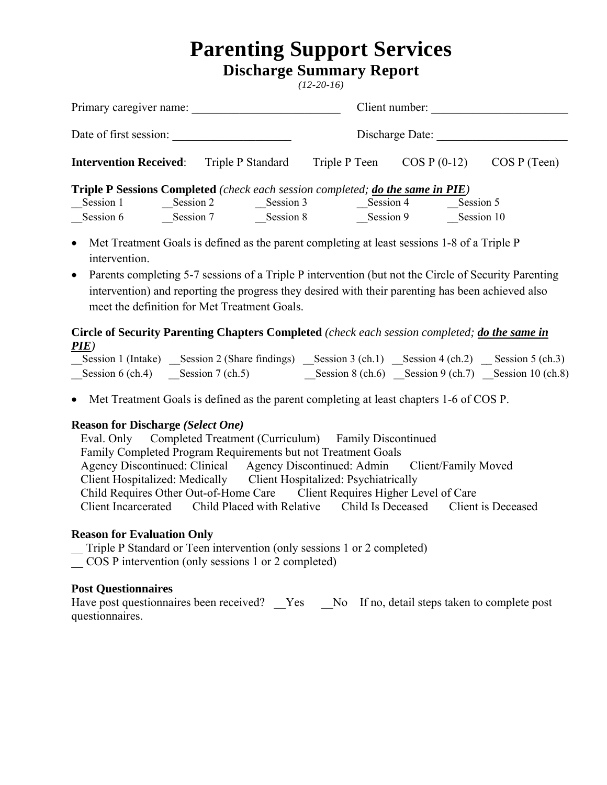# **Parenting Support Services**

**Discharge Summary Report**

*(12-20-16)* 

| Primary caregiver name:                                                                       |           |                   | Client number:  |                |              |  |  |  |  |
|-----------------------------------------------------------------------------------------------|-----------|-------------------|-----------------|----------------|--------------|--|--|--|--|
| Date of first session:                                                                        |           |                   | Discharge Date: |                |              |  |  |  |  |
| <b>Intervention Received:</b>                                                                 |           | Triple P Standard | Triple P Teen   | $COS P (0-12)$ | COS P (Teen) |  |  |  |  |
| <b>Triple P Sessions Completed</b> (check each session completed; <b>do the same in PIE</b> ) |           |                   |                 |                |              |  |  |  |  |
| Session 1                                                                                     | Session 2 | Session 3         | Session 4       |                | Session 5    |  |  |  |  |
| Session 6                                                                                     | Session 7 | Session 8         | Session 9       |                | Session 10   |  |  |  |  |

- Met Treatment Goals is defined as the parent completing at least sessions 1-8 of a Triple P intervention.
- Parents completing 5-7 sessions of a Triple P intervention (but not the Circle of Security Parenting intervention) and reporting the progress they desired with their parenting has been achieved also meet the definition for Met Treatment Goals.

### **Circle of Security Parenting Chapters Completed** *(check each session completed; do the same in PIE)*

|                                   | Session 1 (Intake) Session 2 (Share findings) Session 3 (ch.1) Session 4 (ch.2) Session 5 (ch.3) |  |                                                     |
|-----------------------------------|--------------------------------------------------------------------------------------------------|--|-----------------------------------------------------|
| Session 6 (ch.4) Session 7 (ch.5) |                                                                                                  |  | Session 8 (ch.6) Session 9 (ch.7) Session 10 (ch.8) |

Met Treatment Goals is defined as the parent completing at least chapters 1-6 of COS P.

#### **Reason for Discharge** *(Select One)*

Eval. Only Completed Treatment (Curriculum) Family Discontinued Family Completed Program Requirements but not Treatment Goals Agency Discontinued: Clinical Agency Discontinued: Admin Client/Family Moved Client Hospitalized: Medically Client Hospitalized: Psychiatrically Child Requires Other Out-of-Home Care Client Requires Higher Level of Care Client Incarcerated Child Placed with Relative Child Is Deceased Client is Deceased

#### **Reason for Evaluation Only**

\_\_ Triple P Standard or Teen intervention (only sessions 1 or 2 completed)

\_\_ COS P intervention (only sessions 1 or 2 completed)

#### **Post Questionnaires**

Have post questionnaires been received? Yes No If no, detail steps taken to complete post questionnaires.